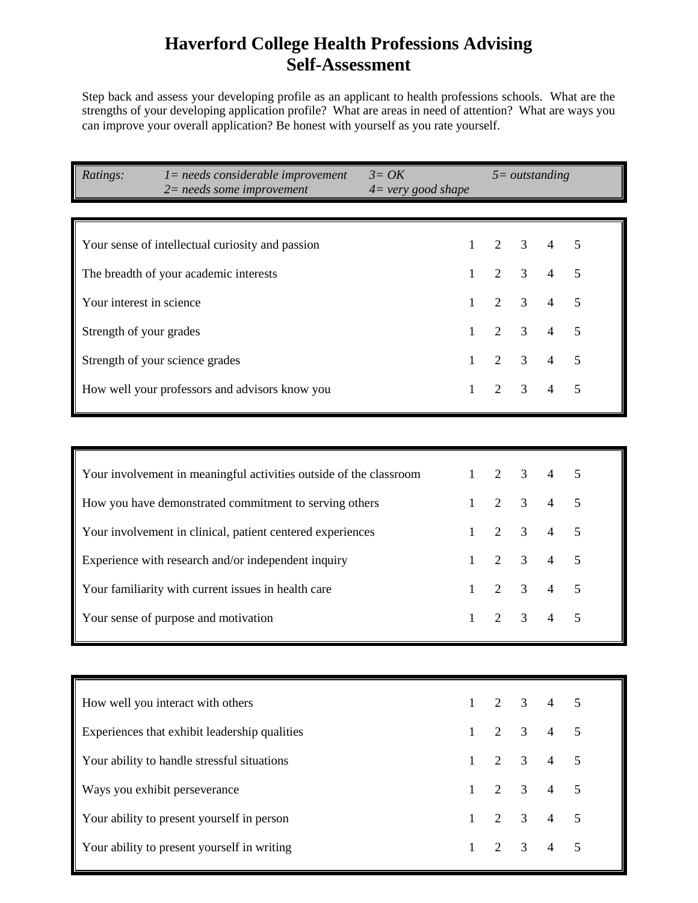## **Haverford College Health Professions Advising Self-Assessment**

Step back and assess your developing profile as an applicant to health professions schools. What are the strengths of your developing application profile? What are areas in need of attention? What are ways you can improve your overall application? Be honest with yourself as you rate yourself.

| Ratings:<br>$l = needs considered be improvement$<br>$3 = OK$<br>$4 = \text{very good shape}$<br>$2$ = needs some improvement |              | $5 = outstanding$ |                |                |                |
|-------------------------------------------------------------------------------------------------------------------------------|--------------|-------------------|----------------|----------------|----------------|
|                                                                                                                               |              |                   |                |                |                |
| Your sense of intellectual curiosity and passion                                                                              | $\mathbf{1}$ | $\overline{2}$    | 3              | $\overline{4}$ | 5              |
| The breadth of your academic interests                                                                                        | 1            | $\overline{2}$    | 3              | $\overline{4}$ | $\mathfrak{S}$ |
| Your interest in science                                                                                                      | 1            | $\mathfrak{2}$    | 3              | $\overline{4}$ | 5              |
| Strength of your grades                                                                                                       | $\mathbf{1}$ | 2                 | 3              | $\overline{4}$ | $\mathfrak{S}$ |
| Strength of your science grades                                                                                               | 1            | $\overline{2}$    | 3              | $\overline{4}$ | 5              |
| How well your professors and advisors know you                                                                                | 1            | $\overline{2}$    | 3              | $\overline{4}$ | 5              |
|                                                                                                                               |              |                   |                |                |                |
| Your involvement in meaningful activities outside of the classroom                                                            | 1            | 2                 | 3              | $\overline{4}$ | 5              |
| How you have demonstrated commitment to serving others                                                                        | 1            | 2                 | 3              | $\overline{4}$ | 5              |
| Your involvement in clinical, patient centered experiences                                                                    | 1            | $\overline{2}$    | 3              | $\overline{4}$ | 5              |
| Experience with research and/or independent inquiry                                                                           | $\mathbf{1}$ | $\overline{2}$    | 3              | $\overline{4}$ | 5              |
| Your familiarity with current issues in health care                                                                           | 1            | $\overline{2}$    | 3              | $\overline{4}$ | 5              |
| Your sense of purpose and motivation                                                                                          | 1            | $\overline{2}$    | 3              | $\overline{4}$ | 5              |
|                                                                                                                               |              |                   |                |                |                |
| How well you interact with others                                                                                             | $\mathbf{1}$ | 2                 | $\mathfrak{Z}$ | $\overline{4}$ | $\mathfrak{S}$ |
| Experiences that exhibit leadership qualities                                                                                 | $\mathbf{1}$ | $\overline{2}$    | $\mathfrak{Z}$ | $\overline{4}$ | $\mathfrak s$  |
| Your ability to handle stressful situations                                                                                   | $\mathbf{1}$ | $\overline{2}$    | $\mathfrak{Z}$ | $\overline{4}$ | $\overline{5}$ |
| Ways you exhibit perseverance                                                                                                 | $\mathbf{1}$ | $\overline{2}$    | $\mathfrak{Z}$ | $\overline{4}$ | $\overline{5}$ |
| Your ability to present yourself in person                                                                                    | $\mathbf{1}$ | $\overline{2}$    | $\mathfrak{Z}$ | $\overline{4}$ | $\sqrt{5}$     |
| Your ability to present yourself in writing                                                                                   | $\mathbf{1}$ | $\overline{2}$    | $\mathfrak{Z}$ | $\overline{4}$ | $\overline{5}$ |